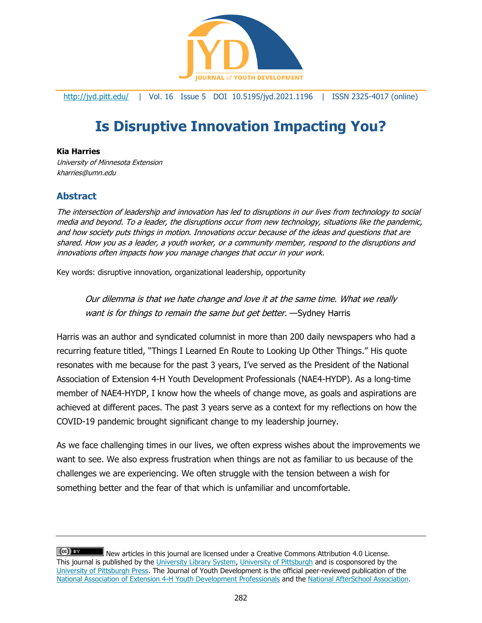

<http://jyd.pitt.edu/> | Vol. 16 Issue 5 DOI 10.5195/jyd.2021.1196 | ISSN 2325-4017 (online)

# **Is Disruptive Innovation Impacting You?**

## **Kia Harries**

University of Minnesota Extension kharries@umn.edu

## **Abstract**

The intersection of leadership and innovation has led to disruptions in our lives from technology to social media and beyond. To a leader, the disruptions occur from new technology, situations like the pandemic, and how society puts things in motion. Innovations occur because of the ideas and questions that are shared. How you as a leader, a youth worker, or a community member, respond to the disruptions and innovations often impacts how you manage changes that occur in your work.

Key words: disruptive innovation, organizational leadership, opportunity

Our dilemma is that we hate change and love it at the same time. What we really want is for things to remain the same but get better. — Sydney Harris

Harris was an author and syndicated columnist in more than 200 daily newspapers who had a recurring feature titled, "Things I Learned En Route to Looking Up Other Things." His quote resonates with me because for the past 3 years, I've served as the President of the National Association of Extension 4-H Youth Development Professionals (NAE4-HYDP). As a long-time member of NAE4-HYDP, I know how the wheels of change move, as goals and aspirations are achieved at different paces. The past 3 years serve as a context for my reflections on how the COVID-19 pandemic brought significant change to my leadership journey.

As we face challenging times in our lives, we often express wishes about the improvements we want to see. We also express frustration when things are not as familiar to us because of the challenges we are experiencing. We often struggle with the tension between a wish for something better and the fear of that which is unfamiliar and uncomfortable.

 $(cc)$  BY New articles in this journal are licensed under a Creative Commons Attribution 4.0 License. This journal is published by the [University Library System,](http://www.library.pitt.edu/) [University of Pittsburgh](http://www.pitt.edu/) and is cosponsored by the [University of Pittsburgh Press.](http://www.upress.pitt.edu/upressIndex.aspx) The Journal of Youth Development is the official peer-reviewed publication of the [National Association of Extension 4-H Youth Development Professionals](http://www.nae4ha.com/) and the [National AfterSchool Association.](http://naaweb.org/)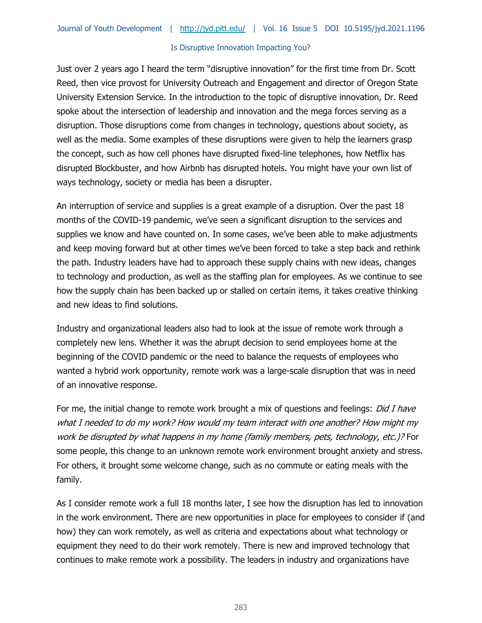#### Is Disruptive Innovation Impacting You?

Just over 2 years ago I heard the term "disruptive innovation" for the first time from Dr. Scott Reed, then vice provost for University Outreach and Engagement and director of Oregon State University Extension Service. In the introduction to the topic of disruptive innovation, Dr. Reed spoke about the intersection of leadership and innovation and the mega forces serving as a disruption. Those disruptions come from changes in technology, questions about society, as well as the media. Some examples of these disruptions were given to help the learners grasp the concept, such as how cell phones have disrupted fixed-line telephones, how Netflix has disrupted Blockbuster, and how Airbnb has disrupted hotels. You might have your own list of ways technology, society or media has been a disrupter.

An interruption of service and supplies is a great example of a disruption. Over the past 18 months of the COVID-19 pandemic, we've seen a significant disruption to the services and supplies we know and have counted on. In some cases, we've been able to make adjustments and keep moving forward but at other times we've been forced to take a step back and rethink the path. Industry leaders have had to approach these supply chains with new ideas, changes to technology and production, as well as the staffing plan for employees. As we continue to see how the supply chain has been backed up or stalled on certain items, it takes creative thinking and new ideas to find solutions.

Industry and organizational leaders also had to look at the issue of remote work through a completely new lens. Whether it was the abrupt decision to send employees home at the beginning of the COVID pandemic or the need to balance the requests of employees who wanted a hybrid work opportunity, remote work was a large-scale disruption that was in need of an innovative response.

For me, the initial change to remote work brought a mix of questions and feelings: *Did I have* what I needed to do my work? How would my team interact with one another? How might my work be disrupted by what happens in my home (family members, pets, technology, etc.)? For some people, this change to an unknown remote work environment brought anxiety and stress. For others, it brought some welcome change, such as no commute or eating meals with the family.

As I consider remote work a full 18 months later, I see how the disruption has led to innovation in the work environment. There are new opportunities in place for employees to consider if (and how) they can work remotely, as well as criteria and expectations about what technology or equipment they need to do their work remotely. There is new and improved technology that continues to make remote work a possibility. The leaders in industry and organizations have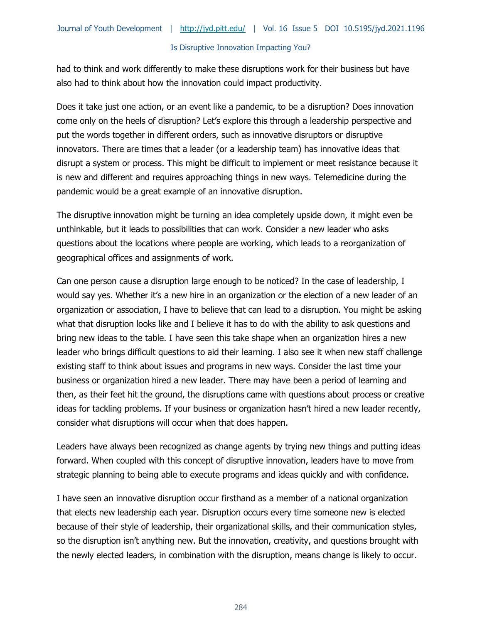#### Is Disruptive Innovation Impacting You?

had to think and work differently to make these disruptions work for their business but have also had to think about how the innovation could impact productivity.

Does it take just one action, or an event like a pandemic, to be a disruption? Does innovation come only on the heels of disruption? Let's explore this through a leadership perspective and put the words together in different orders, such as innovative disruptors or disruptive innovators. There are times that a leader (or a leadership team) has innovative ideas that disrupt a system or process. This might be difficult to implement or meet resistance because it is new and different and requires approaching things in new ways. Telemedicine during the pandemic would be a great example of an innovative disruption.

The disruptive innovation might be turning an idea completely upside down, it might even be unthinkable, but it leads to possibilities that can work. Consider a new leader who asks questions about the locations where people are working, which leads to a reorganization of geographical offices and assignments of work.

Can one person cause a disruption large enough to be noticed? In the case of leadership, I would say yes. Whether it's a new hire in an organization or the election of a new leader of an organization or association, I have to believe that can lead to a disruption. You might be asking what that disruption looks like and I believe it has to do with the ability to ask questions and bring new ideas to the table. I have seen this take shape when an organization hires a new leader who brings difficult questions to aid their learning. I also see it when new staff challenge existing staff to think about issues and programs in new ways. Consider the last time your business or organization hired a new leader. There may have been a period of learning and then, as their feet hit the ground, the disruptions came with questions about process or creative ideas for tackling problems. If your business or organization hasn't hired a new leader recently, consider what disruptions will occur when that does happen.

Leaders have always been recognized as change agents by trying new things and putting ideas forward. When coupled with this concept of disruptive innovation, leaders have to move from strategic planning to being able to execute programs and ideas quickly and with confidence.

I have seen an innovative disruption occur firsthand as a member of a national organization that elects new leadership each year. Disruption occurs every time someone new is elected because of their style of leadership, their organizational skills, and their communication styles, so the disruption isn't anything new. But the innovation, creativity, and questions brought with the newly elected leaders, in combination with the disruption, means change is likely to occur.